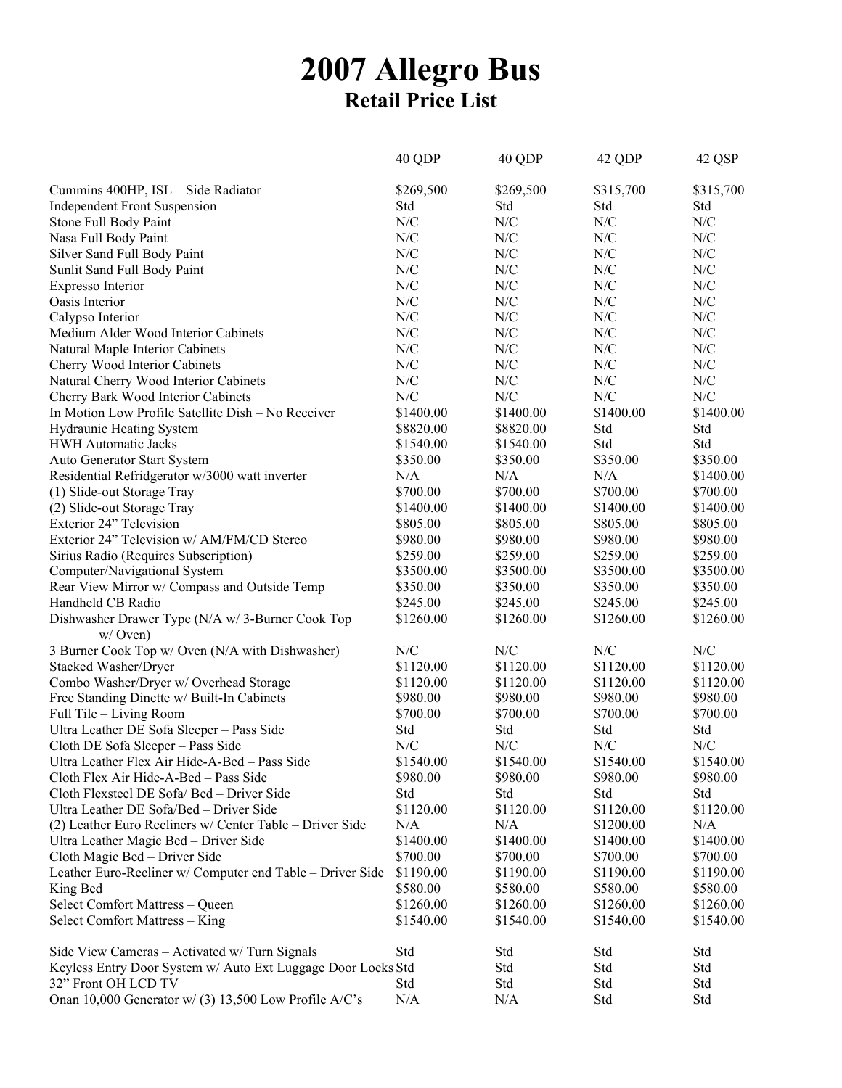## **2007 Allegro Bus Retail Price List**

|                                                              | 40 QDP      | 40 QDP                   | 42 QDP    | 42 QSP                   |
|--------------------------------------------------------------|-------------|--------------------------|-----------|--------------------------|
| Cummins 400HP, ISL - Side Radiator                           | \$269,500   | \$269,500                | \$315,700 | \$315,700                |
| <b>Independent Front Suspension</b>                          | Std         | Std                      | Std       | Std                      |
| Stone Full Body Paint                                        | N/C         | N/C                      | N/C       | N/C                      |
| Nasa Full Body Paint                                         | N/C         | N/C                      | N/C       | N/C                      |
| Silver Sand Full Body Paint                                  | N/C         | N/C                      | N/C       | N/C                      |
| Sunlit Sand Full Body Paint                                  | N/C         | N/C                      | N/C       | N/C                      |
| Expresso Interior                                            | N/C         | N/C                      | N/C       | N/C                      |
| Oasis Interior                                               | ${\rm N/C}$ | N/C                      | N/C       | N/C                      |
| Calypso Interior                                             | ${\rm N/C}$ | N/C                      | N/C       | N/C                      |
| Medium Alder Wood Interior Cabinets                          | N/C         | N/C                      | N/C       | N/C                      |
| Natural Maple Interior Cabinets                              | N/C         | ${\rm N\hspace{-1pt}}/C$ | N/C       | ${\rm N\hspace{-1pt}}/C$ |
| Cherry Wood Interior Cabinets                                | N/C         | N/C                      | N/C       | N/C                      |
| Natural Cherry Wood Interior Cabinets                        | N/C         | N/C                      | N/C       | N/C                      |
| Cherry Bark Wood Interior Cabinets                           | ${\rm N/C}$ | ${\rm N\hspace{-1pt}}/C$ | N/C       | ${\rm N/C}$              |
| In Motion Low Profile Satellite Dish - No Receiver           | \$1400.00   | \$1400.00                | \$1400.00 | \$1400.00                |
| <b>Hydraunic Heating System</b>                              | \$8820.00   | \$8820.00                | Std       | Std                      |
| <b>HWH Automatic Jacks</b>                                   | \$1540.00   | \$1540.00                | Std       | Std                      |
| Auto Generator Start System                                  | \$350.00    | \$350.00                 | \$350.00  | \$350.00                 |
| Residential Refridgerator w/3000 watt inverter               | N/A         | N/A                      | N/A       | \$1400.00                |
| (1) Slide-out Storage Tray                                   | \$700.00    | \$700.00                 | \$700.00  | \$700.00                 |
| (2) Slide-out Storage Tray                                   | \$1400.00   | \$1400.00                | \$1400.00 | \$1400.00                |
| Exterior 24" Television                                      | \$805.00    | \$805.00                 | \$805.00  | \$805.00                 |
| Exterior 24" Television w/ AM/FM/CD Stereo                   | \$980.00    | \$980.00                 | \$980.00  | \$980.00                 |
| Sirius Radio (Requires Subscription)                         | \$259.00    | \$259.00                 | \$259.00  | \$259.00                 |
| Computer/Navigational System                                 | \$3500.00   | \$3500.00                | \$3500.00 | \$3500.00                |
| Rear View Mirror w/ Compass and Outside Temp                 | \$350.00    | \$350.00                 | \$350.00  | \$350.00                 |
| Handheld CB Radio                                            | \$245.00    | \$245.00                 | \$245.00  | \$245.00                 |
| Dishwasher Drawer Type (N/A w/ 3-Burner Cook Top             | \$1260.00   | \$1260.00                | \$1260.00 | \$1260.00                |
| $w/$ Oven)                                                   |             |                          |           |                          |
| 3 Burner Cook Top w/ Oven (N/A with Dishwasher)              | N/C         | N/C                      | N/C       | N/C                      |
| Stacked Washer/Dryer                                         | \$1120.00   | \$1120.00                | \$1120.00 | \$1120.00                |
| Combo Washer/Dryer w/ Overhead Storage                       | \$1120.00   | \$1120.00                | \$1120.00 | \$1120.00                |
| Free Standing Dinette w/ Built-In Cabinets                   | \$980.00    | \$980.00                 | \$980.00  | \$980.00                 |
| Full Tile - Living Room                                      | \$700.00    | \$700.00                 | \$700.00  | \$700.00                 |
| Ultra Leather DE Sofa Sleeper - Pass Side                    | Std         | Std                      | Std       | Std                      |
| Cloth DE Sofa Sleeper - Pass Side                            | N/C         | ${\rm N/C}$              | N/C       | N/C                      |
| Ultra Leather Flex Air Hide-A-Bed - Pass Side                | \$1540.00   | \$1540.00                | \$1540.00 | \$1540.00                |
| Cloth Flex Air Hide-A-Bed - Pass Side                        | \$980.00    | \$980.00                 | \$980.00  | \$980.00                 |
| Cloth Flexsteel DE Sofa/Bed - Driver Side                    | Std         | Std                      | Std       | Std                      |
| Ultra Leather DE Sofa/Bed – Driver Side                      | \$1120.00   | \$1120.00                | \$1120.00 | \$1120.00                |
| (2) Leather Euro Recliners w/ Center Table – Driver Side     | N/A         | N/A                      | \$1200.00 | N/A                      |
| Ultra Leather Magic Bed - Driver Side                        | \$1400.00   | \$1400.00                | \$1400.00 | \$1400.00                |
| Cloth Magic Bed - Driver Side                                | \$700.00    | \$700.00                 | \$700.00  | \$700.00                 |
| Leather Euro-Recliner w/ Computer end Table - Driver Side    | \$1190.00   | \$1190.00                | \$1190.00 | \$1190.00                |
| King Bed                                                     | \$580.00    | \$580.00                 | \$580.00  | \$580.00                 |
| Select Comfort Mattress - Queen                              | \$1260.00   | \$1260.00                | \$1260.00 | \$1260.00                |
| Select Comfort Mattress - King                               | \$1540.00   | \$1540.00                | \$1540.00 | \$1540.00                |
|                                                              |             |                          |           |                          |
| Side View Cameras - Activated w/ Turn Signals                | Std         | Std                      | Std       | Std                      |
| Keyless Entry Door System w/ Auto Ext Luggage Door Locks Std |             | Std                      | Std       | Std                      |
| 32" Front OH LCD TV                                          | Std         | Std                      | Std       | Std                      |
| Onan 10,000 Generator w/ (3) 13,500 Low Profile A/C's        | N/A         | N/A                      | Std       | Std                      |